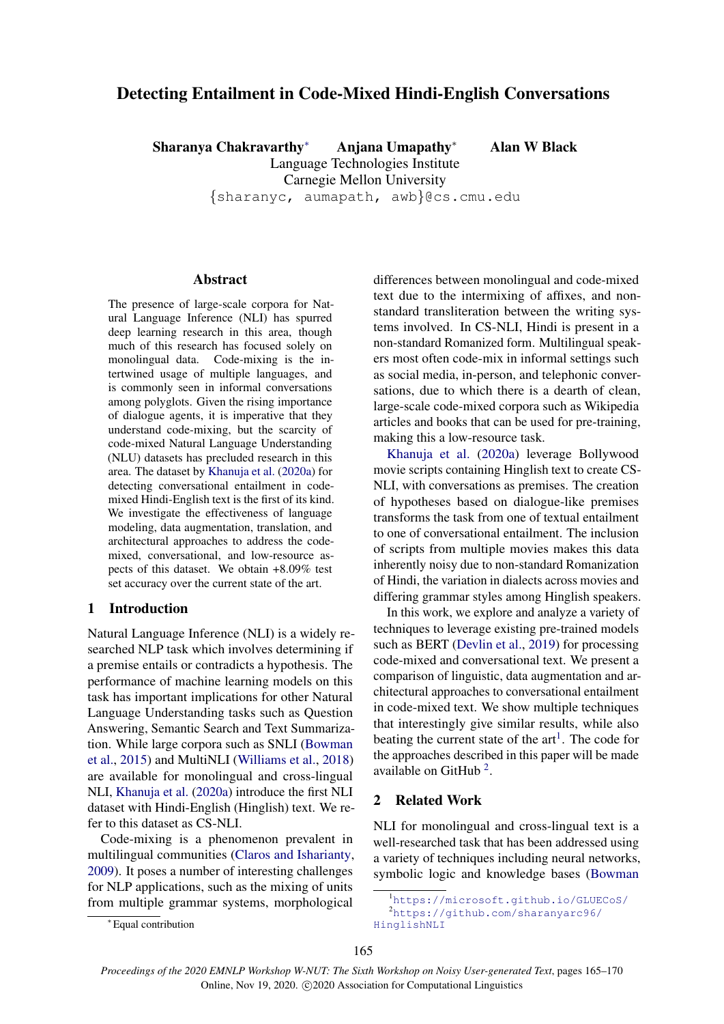# Detecting Entailment in Code-Mixed Hindi-English Conversations

Sharanya Chakravarthy<sup>∗</sup> Anjana Umapathy<sup>∗</sup> Alan W Black Language Technologies Institute Carnegie Mellon University {sharanyc, aumapath, awb}@cs.cmu.edu

### Abstract

The presence of large-scale corpora for Natural Language Inference (NLI) has spurred deep learning research in this area, though much of this research has focused solely on monolingual data. Code-mixing is the intertwined usage of multiple languages, and is commonly seen in informal conversations among polyglots. Given the rising importance of dialogue agents, it is imperative that they understand code-mixing, but the scarcity of code-mixed Natural Language Understanding (NLU) datasets has precluded research in this area. The dataset by [Khanuja et al.](#page-5-0) [\(2020a\)](#page-5-0) for detecting conversational entailment in codemixed Hindi-English text is the first of its kind. We investigate the effectiveness of language modeling, data augmentation, translation, and architectural approaches to address the codemixed, conversational, and low-resource aspects of this dataset. We obtain +8.09% test set accuracy over the current state of the art.

## 1 Introduction

Natural Language Inference (NLI) is a widely researched NLP task which involves determining if a premise entails or contradicts a hypothesis. The performance of machine learning models on this task has important implications for other Natural Language Understanding tasks such as Question Answering, Semantic Search and Text Summarization. While large corpora such as SNLI [\(Bowman](#page-4-0) [et al.,](#page-4-0) [2015\)](#page-4-0) and MultiNLI [\(Williams et al.,](#page-5-1) [2018\)](#page-5-1) are available for monolingual and cross-lingual NLI, [Khanuja et al.](#page-5-0) [\(2020a\)](#page-5-0) introduce the first NLI dataset with Hindi-English (Hinglish) text. We refer to this dataset as CS-NLI.

Code-mixing is a phenomenon prevalent in multilingual communities [\(Claros and Isharianty,](#page-4-1) [2009\)](#page-4-1). It poses a number of interesting challenges for NLP applications, such as the mixing of units from multiple grammar systems, morphological

differences between monolingual and code-mixed text due to the intermixing of affixes, and nonstandard transliteration between the writing systems involved. In CS-NLI, Hindi is present in a non-standard Romanized form. Multilingual speakers most often code-mix in informal settings such as social media, in-person, and telephonic conversations, due to which there is a dearth of clean, large-scale code-mixed corpora such as Wikipedia articles and books that can be used for pre-training, making this a low-resource task.

[Khanuja et al.](#page-5-0) [\(2020a\)](#page-5-0) leverage Bollywood movie scripts containing Hinglish text to create CS-NLI, with conversations as premises. The creation of hypotheses based on dialogue-like premises transforms the task from one of textual entailment to one of conversational entailment. The inclusion of scripts from multiple movies makes this data inherently noisy due to non-standard Romanization of Hindi, the variation in dialects across movies and differing grammar styles among Hinglish speakers.

In this work, we explore and analyze a variety of techniques to leverage existing pre-trained models such as BERT [\(Devlin et al.,](#page-4-2) [2019\)](#page-4-2) for processing code-mixed and conversational text. We present a comparison of linguistic, data augmentation and architectural approaches to conversational entailment in code-mixed text. We show multiple techniques that interestingly give similar results, while also beating the current state of the  $art<sup>1</sup>$  $art<sup>1</sup>$  $art<sup>1</sup>$ . The code for the approaches described in this paper will be made available on GitHub<sup>[2](#page-0-1)</sup>.

## 2 Related Work

NLI for monolingual and cross-lingual text is a well-researched task that has been addressed using a variety of techniques including neural networks, symbolic logic and knowledge bases [\(Bowman](#page-4-0)

<sup>∗</sup> Equal contribution

<span id="page-0-1"></span><span id="page-0-0"></span><sup>1</sup>[https://microsoft.github.io/GLUECoS/](#page-4-0) <sup>2</sup>[https://github.com/sharanyarc96/](#page-4-0) [HinglishNLI](#page-4-0)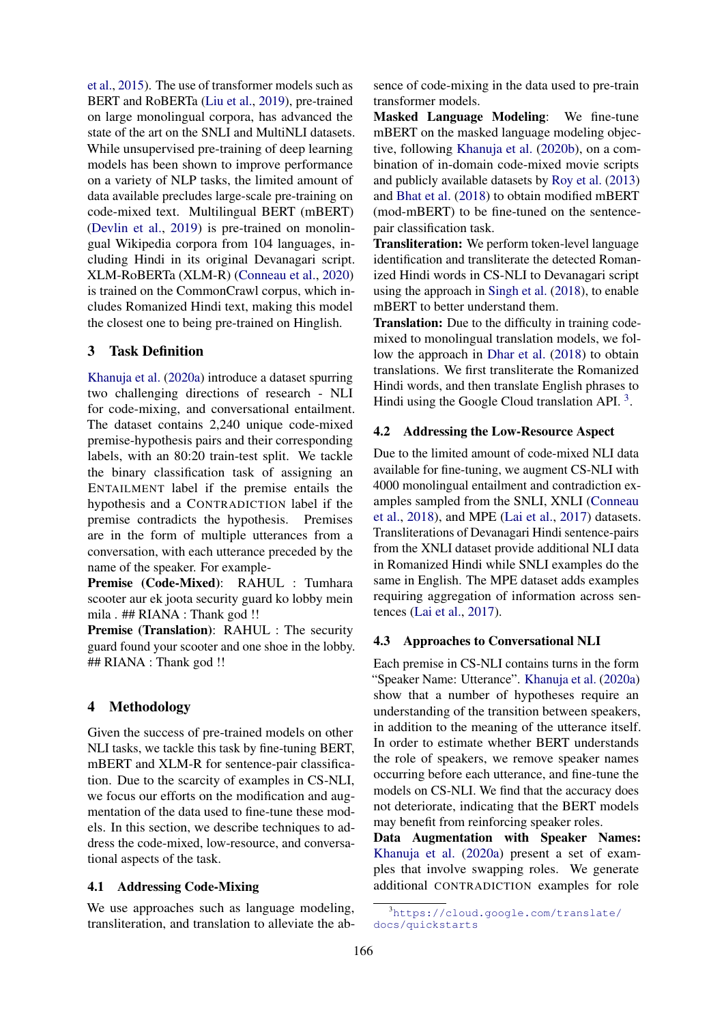[et al.,](#page-4-0) [2015\)](#page-4-0). The use of transformer models such as BERT and RoBERTa [\(Liu et al.,](#page-5-2) [2019\)](#page-5-2), pre-trained on large monolingual corpora, has advanced the state of the art on the SNLI and MultiNLI datasets. While unsupervised pre-training of deep learning models has been shown to improve performance on a variety of NLP tasks, the limited amount of data available precludes large-scale pre-training on code-mixed text. Multilingual BERT (mBERT) [\(Devlin et al.,](#page-4-2) [2019\)](#page-4-2) is pre-trained on monolingual Wikipedia corpora from 104 languages, including Hindi in its original Devanagari script. XLM-RoBERTa (XLM-R) [\(Conneau et al.,](#page-4-3) [2020\)](#page-4-3) is trained on the CommonCrawl corpus, which includes Romanized Hindi text, making this model the closest one to being pre-trained on Hinglish.

#### 3 Task Definition

[Khanuja et al.](#page-5-0) [\(2020a\)](#page-5-0) introduce a dataset spurring two challenging directions of research - NLI for code-mixing, and conversational entailment. The dataset contains 2,240 unique code-mixed premise-hypothesis pairs and their corresponding labels, with an 80:20 train-test split. We tackle the binary classification task of assigning an ENTAILMENT label if the premise entails the hypothesis and a CONTRADICTION label if the premise contradicts the hypothesis. Premises are in the form of multiple utterances from a conversation, with each utterance preceded by the name of the speaker. For example-

Premise (Code-Mixed): RAHUL : Tumhara scooter aur ek joota security guard ko lobby mein mila . ## RIANA : Thank god !!

Premise (Translation): RAHUL : The security guard found your scooter and one shoe in the lobby. ## RIANA : Thank god !!

## 4 Methodology

Given the success of pre-trained models on other NLI tasks, we tackle this task by fine-tuning BERT, mBERT and XLM-R for sentence-pair classification. Due to the scarcity of examples in CS-NLI, we focus our efforts on the modification and augmentation of the data used to fine-tune these models. In this section, we describe techniques to address the code-mixed, low-resource, and conversational aspects of the task.

#### 4.1 Addressing Code-Mixing

We use approaches such as language modeling, transliteration, and translation to alleviate the absence of code-mixing in the data used to pre-train transformer models.

Masked Language Modeling: We fine-tune mBERT on the masked language modeling objective, following [Khanuja et al.](#page-5-3) [\(2020b\)](#page-5-3), on a combination of in-domain code-mixed movie scripts and publicly available datasets by [Roy et al.](#page-5-4) [\(2013\)](#page-5-4) and [Bhat et al.](#page-4-4) [\(2018\)](#page-4-4) to obtain modified mBERT (mod-mBERT) to be fine-tuned on the sentencepair classification task.

Transliteration: We perform token-level language identification and transliterate the detected Romanized Hindi words in CS-NLI to Devanagari script using the approach in [Singh et al.](#page-5-5) [\(2018\)](#page-5-5), to enable mBERT to better understand them.

**Translation:** Due to the difficulty in training codemixed to monolingual translation models, we follow the approach in [Dhar et al.](#page-5-6) [\(2018\)](#page-5-6) to obtain translations. We first transliterate the Romanized Hindi words, and then translate English phrases to Hindi using the Google Cloud translation API.<sup>[3](#page-1-0)</sup>.

## 4.2 Addressing the Low-Resource Aspect

Due to the limited amount of code-mixed NLI data available for fine-tuning, we augment CS-NLI with 4000 monolingual entailment and contradiction examples sampled from the SNLI, XNLI [\(Conneau](#page-4-5) [et al.,](#page-4-5) [2018\)](#page-4-5), and MPE [\(Lai et al.,](#page-5-7) [2017\)](#page-5-7) datasets. Transliterations of Devanagari Hindi sentence-pairs from the XNLI dataset provide additional NLI data in Romanized Hindi while SNLI examples do the same in English. The MPE dataset adds examples requiring aggregation of information across sentences [\(Lai et al.,](#page-5-7) [2017\)](#page-5-7).

#### <span id="page-1-1"></span>4.3 Approaches to Conversational NLI

Each premise in CS-NLI contains turns in the form "Speaker Name: Utterance". [Khanuja et al.](#page-5-0) [\(2020a\)](#page-5-0) show that a number of hypotheses require an understanding of the transition between speakers, in addition to the meaning of the utterance itself. In order to estimate whether BERT understands the role of speakers, we remove speaker names occurring before each utterance, and fine-tune the models on CS-NLI. We find that the accuracy does not deteriorate, indicating that the BERT models may benefit from reinforcing speaker roles.

Data Augmentation with Speaker Names: [Khanuja et al.](#page-5-0) [\(2020a\)](#page-5-0) present a set of examples that involve swapping roles. We generate additional CONTRADICTION examples for role

<span id="page-1-0"></span><sup>3</sup>[https://cloud.google.com/translate/](https://cloud.google.com/translate/docs/quickstarts) [docs/quickstarts](https://cloud.google.com/translate/docs/quickstarts)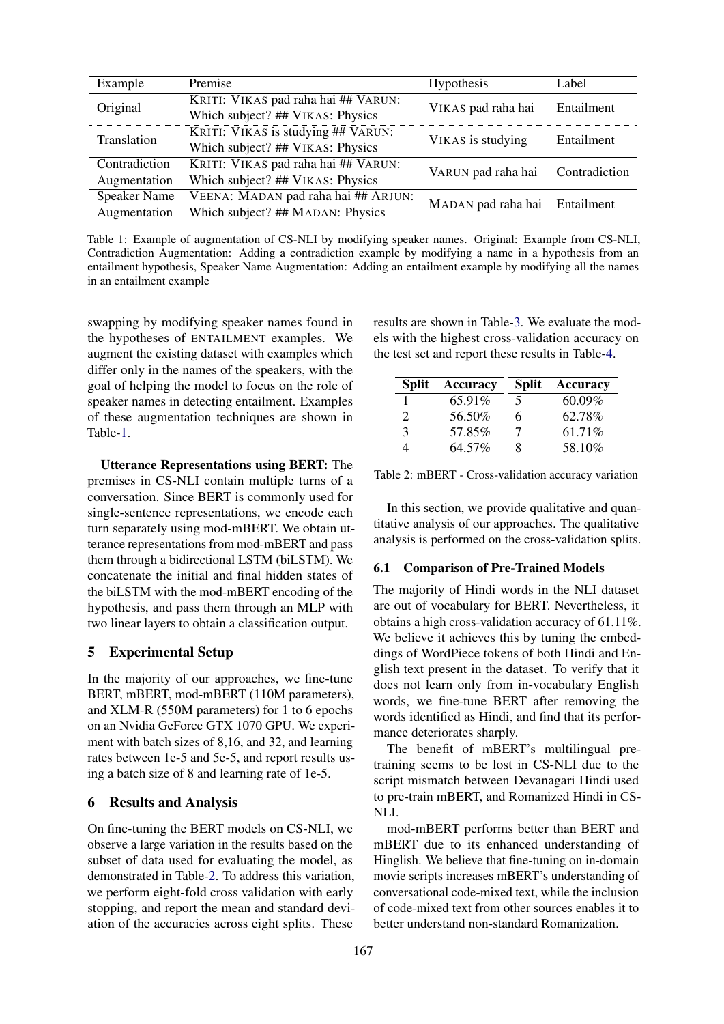<span id="page-2-0"></span>

| Example                             | Premise                                                                 | Hypothesis                    | Label         |
|-------------------------------------|-------------------------------------------------------------------------|-------------------------------|---------------|
| Original                            | KRITI: VIKAS pad raha hai ## VARUN:<br>Which subject? ## VIKAS: Physics | VIKAS pad raha hai            | Entailment    |
| Translation                         | KRITI: VIKAS is studying ## VARUN:<br>Which subject? ## VIKAS: Physics  | VIKAS is studying             | Entailment    |
| Contradiction<br>Augmentation       | KRITI: VIKAS pad raha hai ## VARUN:<br>Which subject? ## VIKAS: Physics | VARUN pad raha hai            | Contradiction |
| <b>Speaker Name</b><br>Augmentation | VEENA: MADAN pad raha hai ## ARJUN:<br>Which subject? ## MADAN: Physics | MADAN pad raha hai Entailment |               |

Table 1: Example of augmentation of CS-NLI by modifying speaker names. Original: Example from CS-NLI, Contradiction Augmentation: Adding a contradiction example by modifying a name in a hypothesis from an entailment hypothesis, Speaker Name Augmentation: Adding an entailment example by modifying all the names in an entailment example

swapping by modifying speaker names found in the hypotheses of ENTAILMENT examples. We augment the existing dataset with examples which differ only in the names of the speakers, with the goal of helping the model to focus on the role of speaker names in detecting entailment. Examples of these augmentation techniques are shown in Table[-1.](#page-2-0)

Utterance Representations using BERT: The premises in CS-NLI contain multiple turns of a conversation. Since BERT is commonly used for single-sentence representations, we encode each turn separately using mod-mBERT. We obtain utterance representations from mod-mBERT and pass them through a bidirectional LSTM (biLSTM). We concatenate the initial and final hidden states of the biLSTM with the mod-mBERT encoding of the hypothesis, and pass them through an MLP with two linear layers to obtain a classification output.

#### 5 Experimental Setup

In the majority of our approaches, we fine-tune BERT, mBERT, mod-mBERT (110M parameters), and XLM-R (550M parameters) for 1 to 6 epochs on an Nvidia GeForce GTX 1070 GPU. We experiment with batch sizes of 8,16, and 32, and learning rates between 1e-5 and 5e-5, and report results using a batch size of 8 and learning rate of 1e-5.

#### 6 Results and Analysis

On fine-tuning the BERT models on CS-NLI, we observe a large variation in the results based on the subset of data used for evaluating the model, as demonstrated in Table[-2.](#page-2-1) To address this variation, we perform eight-fold cross validation with early stopping, and report the mean and standard deviation of the accuracies across eight splits. These

results are shown in Table[-3.](#page-3-0) We evaluate the models with the highest cross-validation accuracy on the test set and report these results in Table[-4.](#page-3-1)

<span id="page-2-1"></span>

| <b>Split</b>                | Accuracy | <b>Split</b> | Accuracy |
|-----------------------------|----------|--------------|----------|
|                             | 65.91\%  | 5            | 60.09%   |
| $\mathcal{D}_{\mathcal{A}}$ | 56.50%   | 6            | 62.78%   |
| $\mathbf{R}$                | 57.85%   | 7            | 61.71\%  |
|                             | 64.57%   | 8            | 58.10%   |

Table 2: mBERT - Cross-validation accuracy variation

In this section, we provide qualitative and quantitative analysis of our approaches. The qualitative analysis is performed on the cross-validation splits.

#### 6.1 Comparison of Pre-Trained Models

The majority of Hindi words in the NLI dataset are out of vocabulary for BERT. Nevertheless, it obtains a high cross-validation accuracy of 61.11%. We believe it achieves this by tuning the embeddings of WordPiece tokens of both Hindi and English text present in the dataset. To verify that it does not learn only from in-vocabulary English words, we fine-tune BERT after removing the words identified as Hindi, and find that its performance deteriorates sharply.

The benefit of mBERT's multilingual pretraining seems to be lost in CS-NLI due to the script mismatch between Devanagari Hindi used to pre-train mBERT, and Romanized Hindi in CS-NLI.

mod-mBERT performs better than BERT and mBERT due to its enhanced understanding of Hinglish. We believe that fine-tuning on in-domain movie scripts increases mBERT's understanding of conversational code-mixed text, while the inclusion of code-mixed text from other sources enables it to better understand non-standard Romanization.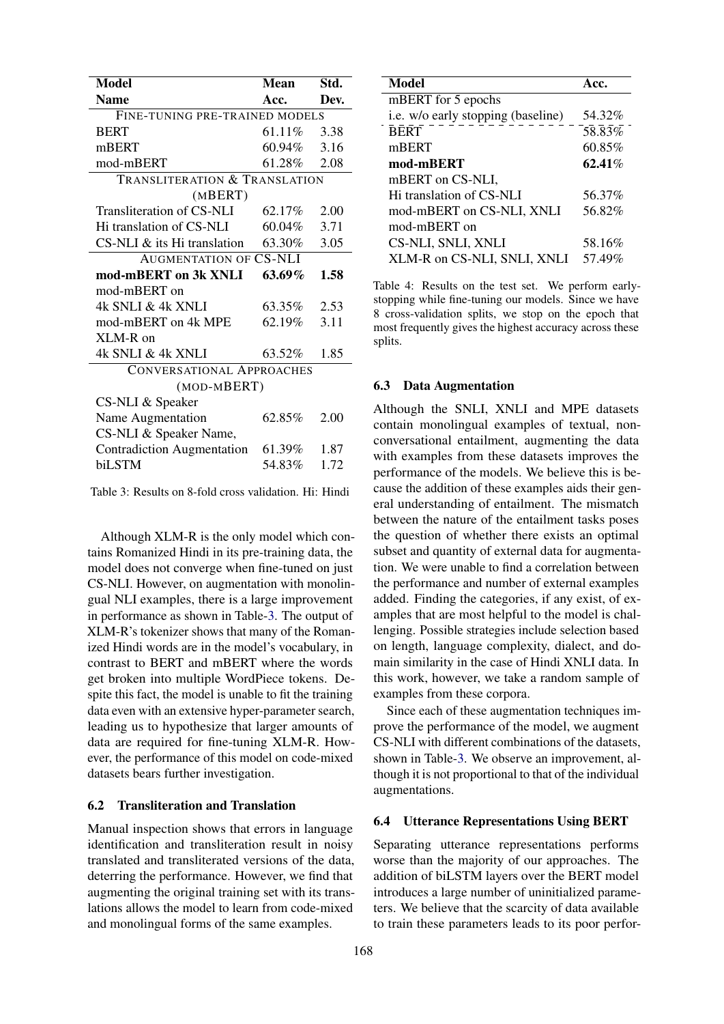<span id="page-3-0"></span>

| <b>Model</b>                      | <b>Mean</b> | Std. |  |  |  |
|-----------------------------------|-------------|------|--|--|--|
| <b>Name</b>                       | Acc.        | Dev. |  |  |  |
| FINE-TUNING PRE-TRAINED MODELS    |             |      |  |  |  |
| <b>BERT</b>                       | 61.11%      | 3.38 |  |  |  |
| mBERT                             | 60.94%      | 3.16 |  |  |  |
| mod-mBERT                         | 61.28%      | 2.08 |  |  |  |
| TRANSLITERATION & TRANSLATION     |             |      |  |  |  |
| (MBERT)                           |             |      |  |  |  |
| Transliteration of CS-NLI         | 62.17%      | 2.00 |  |  |  |
| Hi translation of CS-NLI          | 60.04%      | 3.71 |  |  |  |
| $CS-NLI \&$ its Hi translation    | 63.30%      | 3.05 |  |  |  |
| <b>AUGMENTATION OF CS-NLI</b>     |             |      |  |  |  |
| mod-mBERT on 3k XNLI              | 63.69%      | 1.58 |  |  |  |
| mod-mBERT on                      |             |      |  |  |  |
| 4k SNLI & 4k XNLI                 | 63.35%      | 2.53 |  |  |  |
| mod-mBERT on 4k MPE               | 62.19%      | 3.11 |  |  |  |
| XLM-R on                          |             |      |  |  |  |
| 4k SNLI & 4k XNLI                 | 63.52%      | 1.85 |  |  |  |
| <b>CONVERSATIONAL APPROACHES</b>  |             |      |  |  |  |
| (MOD-MBERT)                       |             |      |  |  |  |
| CS-NLI & Speaker                  |             |      |  |  |  |
| Name Augmentation                 | 62.85%      | 2.00 |  |  |  |
| CS-NLI & Speaker Name,            |             |      |  |  |  |
| <b>Contradiction Augmentation</b> | 61.39%      | 1.87 |  |  |  |
| biLSTM                            | 54.83%      | 1.72 |  |  |  |

Table 3: Results on 8-fold cross validation. Hi: Hindi

Although XLM-R is the only model which contains Romanized Hindi in its pre-training data, the model does not converge when fine-tuned on just CS-NLI. However, on augmentation with monolingual NLI examples, there is a large improvement in performance as shown in Table[-3.](#page-3-0) The output of XLM-R's tokenizer shows that many of the Romanized Hindi words are in the model's vocabulary, in contrast to BERT and mBERT where the words get broken into multiple WordPiece tokens. Despite this fact, the model is unable to fit the training data even with an extensive hyper-parameter search, leading us to hypothesize that larger amounts of data are required for fine-tuning XLM-R. However, the performance of this model on code-mixed datasets bears further investigation.

### 6.2 Transliteration and Translation

Manual inspection shows that errors in language identification and transliteration result in noisy translated and transliterated versions of the data, deterring the performance. However, we find that augmenting the original training set with its translations allows the model to learn from code-mixed and monolingual forms of the same examples.

<span id="page-3-1"></span>

| <b>Model</b>                       | Acc.      |
|------------------------------------|-----------|
| mBERT for 5 epochs                 |           |
| i.e. w/o early stopping (baseline) | 54.32%    |
| <b>BERT</b>                        | 58.83%    |
| mBERT                              | 60.85%    |
| mod-mBERT                          | $62.41\%$ |
| mBERT on CS-NLI,                   |           |
| Hi translation of CS-NLI           | 56.37%    |
| mod-mBERT on CS-NLI, XNLI          | 56.82%    |
| mod-mBERT on                       |           |
| CS-NLI, SNLI, XNLI                 | 58.16%    |
| XLM-R on CS-NLI, SNLI, XNLI        | 57.49%    |

Table 4: Results on the test set. We perform earlystopping while fine-tuning our models. Since we have 8 cross-validation splits, we stop on the epoch that most frequently gives the highest accuracy across these splits.

#### 6.3 Data Augmentation

Although the SNLI, XNLI and MPE datasets contain monolingual examples of textual, nonconversational entailment, augmenting the data with examples from these datasets improves the performance of the models. We believe this is because the addition of these examples aids their general understanding of entailment. The mismatch between the nature of the entailment tasks poses the question of whether there exists an optimal subset and quantity of external data for augmentation. We were unable to find a correlation between the performance and number of external examples added. Finding the categories, if any exist, of examples that are most helpful to the model is challenging. Possible strategies include selection based on length, language complexity, dialect, and domain similarity in the case of Hindi XNLI data. In this work, however, we take a random sample of examples from these corpora.

Since each of these augmentation techniques improve the performance of the model, we augment CS-NLI with different combinations of the datasets, shown in Table[-3.](#page-3-0) We observe an improvement, although it is not proportional to that of the individual augmentations.

### 6.4 Utterance Representations Using BERT

Separating utterance representations performs worse than the majority of our approaches. The addition of biLSTM layers over the BERT model introduces a large number of uninitialized parameters. We believe that the scarcity of data available to train these parameters leads to its poor perfor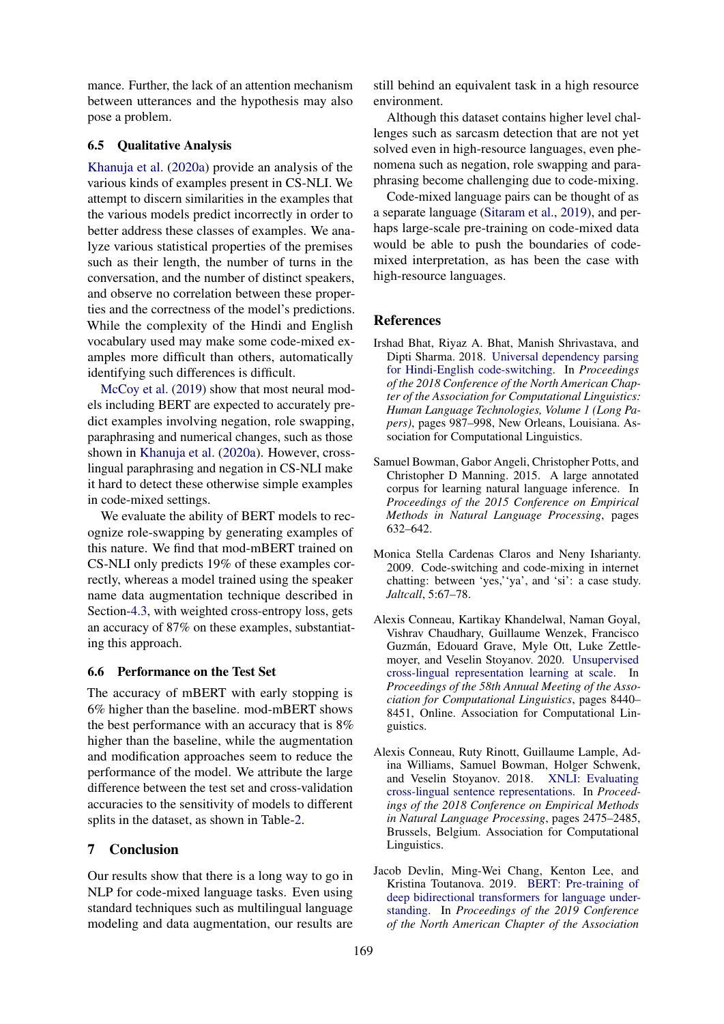mance. Further, the lack of an attention mechanism between utterances and the hypothesis may also pose a problem.

#### 6.5 Qualitative Analysis

[Khanuja et al.](#page-5-0) [\(2020a\)](#page-5-0) provide an analysis of the various kinds of examples present in CS-NLI. We attempt to discern similarities in the examples that the various models predict incorrectly in order to better address these classes of examples. We analyze various statistical properties of the premises such as their length, the number of turns in the conversation, and the number of distinct speakers, and observe no correlation between these properties and the correctness of the model's predictions. While the complexity of the Hindi and English vocabulary used may make some code-mixed examples more difficult than others, automatically identifying such differences is difficult.

[McCoy et al.](#page-5-8) [\(2019\)](#page-5-8) show that most neural models including BERT are expected to accurately predict examples involving negation, role swapping, paraphrasing and numerical changes, such as those shown in [Khanuja et al.](#page-5-0) [\(2020a\)](#page-5-0). However, crosslingual paraphrasing and negation in CS-NLI make it hard to detect these otherwise simple examples in code-mixed settings.

We evaluate the ability of BERT models to recognize role-swapping by generating examples of this nature. We find that mod-mBERT trained on CS-NLI only predicts 19% of these examples correctly, whereas a model trained using the speaker name data augmentation technique described in Section[-4.3,](#page-1-1) with weighted cross-entropy loss, gets an accuracy of 87% on these examples, substantiating this approach.

#### 6.6 Performance on the Test Set

The accuracy of mBERT with early stopping is 6% higher than the baseline. mod-mBERT shows the best performance with an accuracy that is 8% higher than the baseline, while the augmentation and modification approaches seem to reduce the performance of the model. We attribute the large difference between the test set and cross-validation accuracies to the sensitivity of models to different splits in the dataset, as shown in Table[-2.](#page-2-1)

#### 7 Conclusion

Our results show that there is a long way to go in NLP for code-mixed language tasks. Even using standard techniques such as multilingual language modeling and data augmentation, our results are

still behind an equivalent task in a high resource environment.

Although this dataset contains higher level challenges such as sarcasm detection that are not yet solved even in high-resource languages, even phenomena such as negation, role swapping and paraphrasing become challenging due to code-mixing.

Code-mixed language pairs can be thought of as a separate language [\(Sitaram et al.,](#page-5-9) [2019\)](#page-5-9), and perhaps large-scale pre-training on code-mixed data would be able to push the boundaries of codemixed interpretation, as has been the case with high-resource languages.

#### **References**

- <span id="page-4-4"></span>Irshad Bhat, Riyaz A. Bhat, Manish Shrivastava, and Dipti Sharma. 2018. [Universal dependency parsing](https://doi.org/10.18653/v1/N18-1090) [for Hindi-English code-switching.](https://doi.org/10.18653/v1/N18-1090) In *Proceedings of the 2018 Conference of the North American Chapter of the Association for Computational Linguistics: Human Language Technologies, Volume 1 (Long Papers)*, pages 987–998, New Orleans, Louisiana. Association for Computational Linguistics.
- <span id="page-4-0"></span>Samuel Bowman, Gabor Angeli, Christopher Potts, and Christopher D Manning. 2015. A large annotated corpus for learning natural language inference. In *Proceedings of the 2015 Conference on Empirical Methods in Natural Language Processing*, pages 632–642.
- <span id="page-4-1"></span>Monica Stella Cardenas Claros and Neny Isharianty. 2009. Code-switching and code-mixing in internet chatting: between 'yes,''ya', and 'si': a case study. *Jaltcall*, 5:67–78.
- <span id="page-4-3"></span>Alexis Conneau, Kartikay Khandelwal, Naman Goyal, Vishrav Chaudhary, Guillaume Wenzek, Francisco Guzman, Edouard Grave, Myle Ott, Luke Zettle- ´ moyer, and Veselin Stoyanov. 2020. [Unsupervised](https://doi.org/10.18653/v1/2020.acl-main.747) [cross-lingual representation learning at scale.](https://doi.org/10.18653/v1/2020.acl-main.747) In *Proceedings of the 58th Annual Meeting of the Association for Computational Linguistics*, pages 8440– 8451, Online. Association for Computational Linguistics.
- <span id="page-4-5"></span>Alexis Conneau, Ruty Rinott, Guillaume Lample, Adina Williams, Samuel Bowman, Holger Schwenk, and Veselin Stoyanov. 2018. [XNLI: Evaluating](https://doi.org/10.18653/v1/D18-1269) [cross-lingual sentence representations.](https://doi.org/10.18653/v1/D18-1269) In *Proceedings of the 2018 Conference on Empirical Methods in Natural Language Processing*, pages 2475–2485, Brussels, Belgium. Association for Computational Linguistics.
- <span id="page-4-2"></span>Jacob Devlin, Ming-Wei Chang, Kenton Lee, and Kristina Toutanova. 2019. [BERT: Pre-training of](https://doi.org/10.18653/v1/N19-1423) [deep bidirectional transformers for language under](https://doi.org/10.18653/v1/N19-1423)[standing.](https://doi.org/10.18653/v1/N19-1423) In *Proceedings of the 2019 Conference of the North American Chapter of the Association*